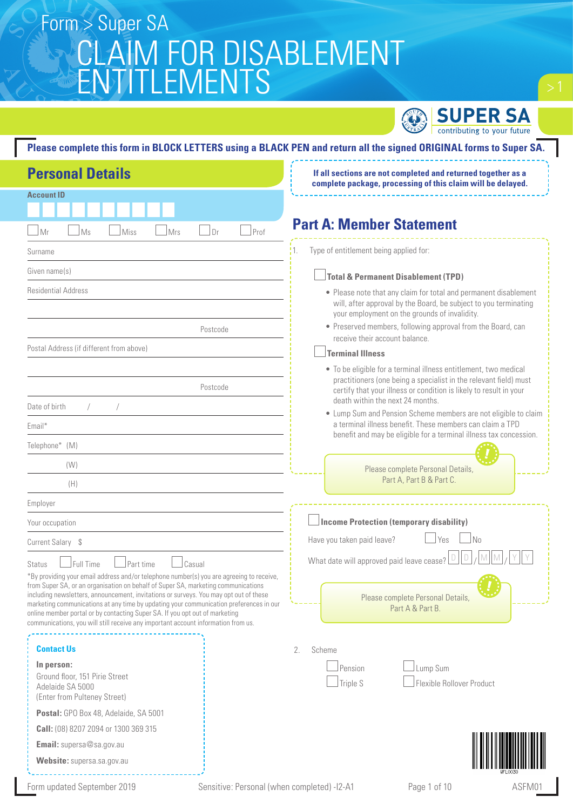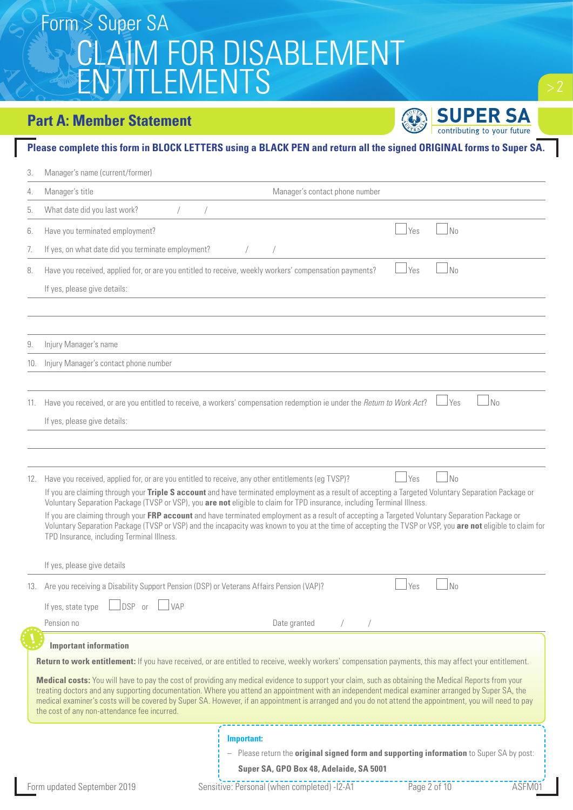### M FOR DISABLEMENT **LEMENTS** Form > Super SA

### **Part A: Member Statement**

**SUPER SA** contributing to your future

### 3. Manager's name (current/former) 4. Manager's title Manager's contact phone number and Manager's contact phone number 5. What date did you last work? / / / 6. Have you terminated employment?  $\Box$  Yes  $\Box$  No 7. If yes, on what date did you terminate employment? 8. Have you received, applied for, or are you entitled to receive, weekly workers' compensation payments?  $\Box$  Yes  $\Box$  No If yes, please give details: Injury Manager's name

**Please complete this form in BLOCK LETTERS using a BLACK PEN and return all the signed ORIGINAL forms to Super SA.**

10. Injury Manager's contact phone number

11. Have you received, or are you entitled to receive, a workers' compensation redemption ie under the *Return to Work Act*? If yes, please give details:

12. Have you received, applied for, or are you entitled to receive, any other entitlements (eg TVSP)?

If you are claiming through your **Triple S account** and have terminated employment as a result of accepting a Targeted Voluntary Separation Package or Voluntary Separation Package (TVSP or VSP), you **are not** eligible to claim for TPD insurance, including Terminal Illness.

If you are claiming through your **FRP account** and have terminated employment as a result of accepting a Targeted Voluntary Separation Package or Voluntary Separation Package (TVSP or VSP) and the incapacity was known to you at the time of accepting the TVSP or VSP, you **are not** eligible to claim for TPD Insurance, including Terminal Illness.

|     | If yes, please give details                                                                                                                                                                                                                                                                                                                                                                                                                                                                                                                                                                                                                                                                                                    |              |  |     |                                                                                                 |
|-----|--------------------------------------------------------------------------------------------------------------------------------------------------------------------------------------------------------------------------------------------------------------------------------------------------------------------------------------------------------------------------------------------------------------------------------------------------------------------------------------------------------------------------------------------------------------------------------------------------------------------------------------------------------------------------------------------------------------------------------|--------------|--|-----|-------------------------------------------------------------------------------------------------|
| 13. | Are you receiving a Disability Support Pension (DSP) or Veterans Affairs Pension (VAP)?                                                                                                                                                                                                                                                                                                                                                                                                                                                                                                                                                                                                                                        |              |  | Yes | N <sub>0</sub>                                                                                  |
|     | If yes, state type $\Box$ DSP or $\Box$ VAP                                                                                                                                                                                                                                                                                                                                                                                                                                                                                                                                                                                                                                                                                    |              |  |     |                                                                                                 |
|     | Pension no                                                                                                                                                                                                                                                                                                                                                                                                                                                                                                                                                                                                                                                                                                                     | Date granted |  |     |                                                                                                 |
|     | <b>Important information</b><br><b>Return to work entitlement:</b> If you have received, or are entitled to receive, weekly workers' compensation payments, this may affect your entitlement.<br><b>Medical costs:</b> You will have to pay the cost of providing any medical evidence to support your claim, such as obtaining the Medical Reports from your<br>treating doctors and any supporting documentation. Where you attend an appointment with an independent medical examiner arranged by Super SA, the<br>medical examiner's costs will be covered by Super SA. However, if an appointment is arranged and you do not attend the appointment, you will need to pay<br>the cost of any non-attendance fee incurred. |              |  |     |                                                                                                 |
|     |                                                                                                                                                                                                                                                                                                                                                                                                                                                                                                                                                                                                                                                                                                                                | Important:   |  |     | - Please return the <b>original signed form and supporting information</b> to Super SA by post: |

**Super SA, GPO Box 48, Adelaide, SA 5001**

Form updated September 2019 Sensitive: Personal (when completed) -I2-A1 Page 2 of 10 ASFM01 ASFM0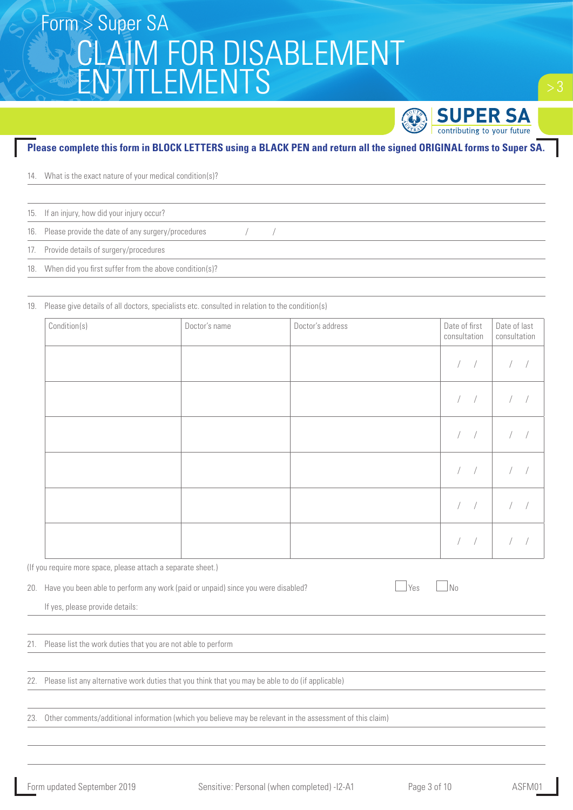

#### **Please complete this form in BLOCK LETTERS using a BLACK PEN and return all the signed ORIGINAL forms to Super SA.**

14. What is the exact nature of your medical condition(s)?

- 15. If an injury, how did your injury occur?
- 16. Please provide the date of any surgery/procedures and the set of the surface of the data  $\frac{1}{2}$
- 17. Provide details of surgery/procedures
- 18. When did you first suffer from the above condition(s)?

19. Please give details of all doctors, specialists etc. consulted in relation to the condition(s)

| Condition(s) | Doctor's name | Doctor's address | Date of first<br>consultation | Date of last<br>consultation |
|--------------|---------------|------------------|-------------------------------|------------------------------|
|              |               |                  | $\sqrt{2}$<br>$\sqrt{2}$      |                              |
|              |               |                  |                               |                              |
|              |               |                  | $\sqrt{2}$<br>$\sqrt{2}$      |                              |
|              |               |                  | $\sqrt{2}$<br>$\bigg)$        |                              |
|              |               |                  | $\mathcal{A}$                 |                              |
|              |               |                  |                               |                              |

(If you require more space, please attach a separate sheet.)

20. Have you been able to perform any work (paid or unpaid) since you were disabled?

If yes, please provide details:

21. Please list the work duties that you are not able to perform

22. Please list any alternative work duties that you think that you may be able to do (if applicable)

23. Other comments/additional information (which you believe may be relevant in the assessment of this claim)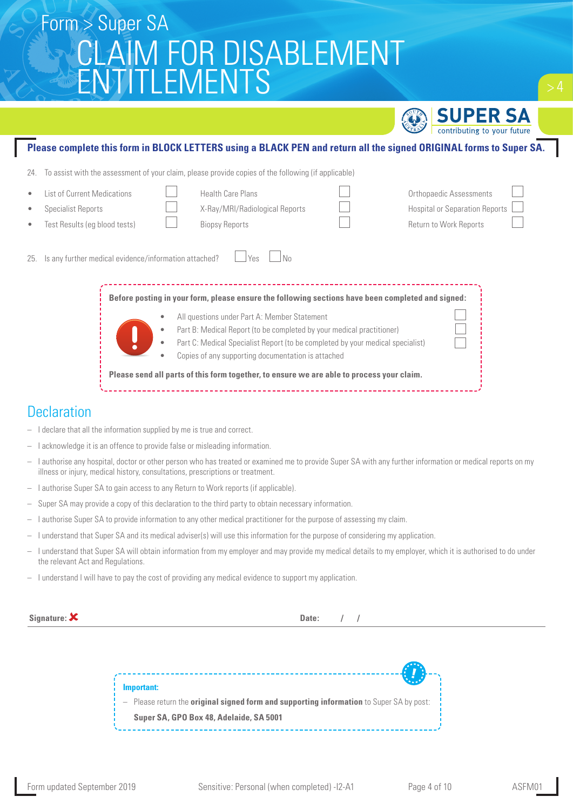|     | contributing to your future                                                                                        |  |  |  |  |  |  |  |
|-----|--------------------------------------------------------------------------------------------------------------------|--|--|--|--|--|--|--|
|     | Please complete this form in BLOCK LETTERS using a BLACK PEN and return all the signed ORIGINAL forms to Super SA. |  |  |  |  |  |  |  |
|     |                                                                                                                    |  |  |  |  |  |  |  |
| 24. | To assist with the assessment of your claim, please provide copies of the following (if applicable)                |  |  |  |  |  |  |  |
|     | <b>List of Current Medications</b><br><b>Health Care Plans</b><br><b>Orthopaedic Assessments</b>                   |  |  |  |  |  |  |  |
|     | <b>Hospital or Separation Reports</b><br>Specialist Reports<br>X-Ray/MRI/Radiological Reports                      |  |  |  |  |  |  |  |
|     | <b>Biopsy Reports</b><br>Return to Work Reports<br>Test Results (eg blood tests)                                   |  |  |  |  |  |  |  |
|     |                                                                                                                    |  |  |  |  |  |  |  |
| 25. | Is any further medical evidence/information attached?<br>No<br>Yes                                                 |  |  |  |  |  |  |  |
|     |                                                                                                                    |  |  |  |  |  |  |  |
|     |                                                                                                                    |  |  |  |  |  |  |  |
|     | Before posting in your form, please ensure the following sections have been completed and signed:                  |  |  |  |  |  |  |  |
|     | All questions under Part A: Member Statement                                                                       |  |  |  |  |  |  |  |
|     | Part B: Medical Report (to be completed by your medical practitioner)                                              |  |  |  |  |  |  |  |
|     | Part C: Medical Specialist Report (to be completed by your medical specialist)                                     |  |  |  |  |  |  |  |
|     | Copies of any supporting documentation is attached                                                                 |  |  |  |  |  |  |  |
|     | Please send all parts of this form together, to ensure we are able to process your claim.                          |  |  |  |  |  |  |  |
|     |                                                                                                                    |  |  |  |  |  |  |  |
|     | Doclaration                                                                                                        |  |  |  |  |  |  |  |

#### Declaration

- I declare that all the information supplied by me is true and correct.
- I acknowledge it is an offence to provide false or misleading information.
- I authorise any hospital, doctor or other person who has treated or examined me to provide Super SA with any further information or medical reports on my illness or injury, medical history, consultations, prescriptions or treatment.
- I authorise Super SA to gain access to any Return to Work reports (if applicable).
- Super SA may provide a copy of this declaration to the third party to obtain necessary information.
- I authorise Super SA to provide information to any other medical practitioner for the purpose of assessing my claim.
- I understand that Super SA and its medical adviser(s) will use this information for the purpose of considering my application.
- I understand that Super SA will obtain information from my employer and may provide my medical details to my employer, which it is authorised to do under the relevant Act and Regulations.
- I understand I will have to pay the cost of providing any medical evidence to support my application.

| Signature: $\boldsymbol{\mathsf{X}}$ | Date:                                                                                             |
|--------------------------------------|---------------------------------------------------------------------------------------------------|
|                                      |                                                                                                   |
|                                      |                                                                                                   |
|                                      |                                                                                                   |
|                                      | Important:                                                                                        |
|                                      | $-$ Please return the <b>original signed form and supporting information</b> to Super SA by post: |
|                                      | Super SA, GPO Box 48, Adelaide, SA 5001                                                           |

**SUPER SA**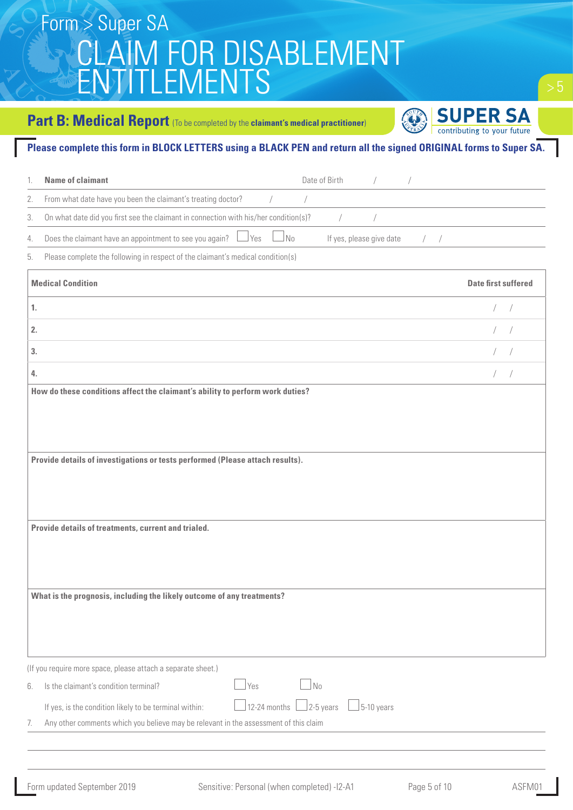#### **Part B: Medical Report** (To be completed by the **claimant's medical practitioner**)

**SUPER SA** 

#### **Please complete this form in BLOCK LETTERS using a BLACK PEN and return all the signed ORIGINAL forms to Super SA.**

| 1. | <b>Name of claimant</b><br>Date of Birth                                                                              |                            |
|----|-----------------------------------------------------------------------------------------------------------------------|----------------------------|
| 2. | From what date have you been the claimant's treating doctor?<br>$\sqrt{2}$                                            |                            |
| 3. | On what date did you first see the claimant in connection with his/her condition(s)?                                  |                            |
| 4. | Does the claimant have an appointment to see you again?<br><b>Yes</b><br>No<br>If yes, please give date<br>$\sqrt{2}$ |                            |
| 5. | Please complete the following in respect of the claimant's medical condition(s)                                       |                            |
|    | <b>Medical Condition</b>                                                                                              | <b>Date first suffered</b> |
| 1. |                                                                                                                       |                            |
| 2. |                                                                                                                       |                            |
| 3. |                                                                                                                       |                            |
| 4. |                                                                                                                       | $\sqrt{2}$                 |
|    | How do these conditions affect the claimant's ability to perform work duties?                                         |                            |
|    |                                                                                                                       |                            |
|    |                                                                                                                       |                            |
|    | Provide details of investigations or tests performed (Please attach results).                                         |                            |
|    |                                                                                                                       |                            |
|    |                                                                                                                       |                            |
|    | Provide details of treatments, current and trialed.                                                                   |                            |
|    |                                                                                                                       |                            |
|    |                                                                                                                       |                            |
|    |                                                                                                                       |                            |
|    | What is the prognosis, including the likely outcome of any treatments?                                                |                            |
|    |                                                                                                                       |                            |
|    |                                                                                                                       |                            |
|    | (If you require more space, please attach a separate sheet.)                                                          |                            |
| 6. | $\Box$ No<br><b>S</b> Yes<br>Is the claimant's condition terminal?                                                    |                            |
|    | 12-24 months $\Box$ 2-5 years<br>$\frac{1}{5}$ -10 years<br>If yes, is the condition likely to be terminal within:    |                            |
| 7. | Any other comments which you believe may be relevant in the assessment of this claim                                  |                            |
|    |                                                                                                                       |                            |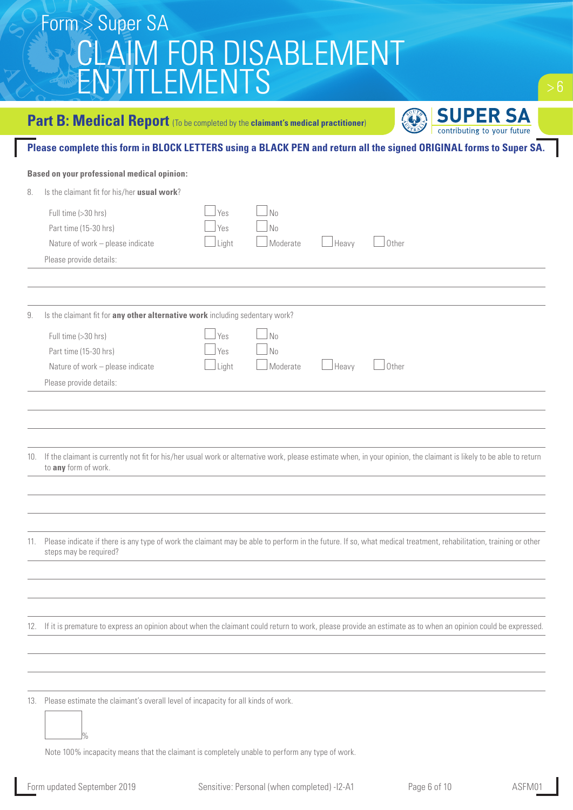#### **Part B: Medical Report** (To be completed by the **claimant's medical practitioner**)

**SUPER SA** contributing to your future

#### **Please complete this form in BLOCK LETTERS using a BLACK PEN and return all the signed ORIGINAL forms to Super SA.**

#### **Based on your professional medical opinion:**

| 8.  | Is the claimant fit for his/her usual work?                                                                                                                                                 |
|-----|---------------------------------------------------------------------------------------------------------------------------------------------------------------------------------------------|
|     | Full time (>30 hrs)<br>Yes<br>No                                                                                                                                                            |
|     | No<br>Part time (15-30 hrs)<br>Yes                                                                                                                                                          |
|     | $\Box$ Heavy<br>Other<br>Moderate<br>Nature of work - please indicate<br>Light                                                                                                              |
|     | Please provide details:                                                                                                                                                                     |
|     |                                                                                                                                                                                             |
|     |                                                                                                                                                                                             |
| 9.  | Is the claimant fit for any other alternative work including sedentary work?                                                                                                                |
|     | Yes<br>No<br>Full time (>30 hrs)                                                                                                                                                            |
|     | Part time (15-30 hrs)<br>No<br>Yes                                                                                                                                                          |
|     | Moderate<br>Heavy<br>Other<br>Light<br>Nature of work - please indicate                                                                                                                     |
|     | Please provide details:                                                                                                                                                                     |
|     |                                                                                                                                                                                             |
|     |                                                                                                                                                                                             |
|     |                                                                                                                                                                                             |
| 10. | If the claimant is currently not fit for his/her usual work or alternative work, please estimate when, in your opinion, the claimant is likely to be able to return<br>to any form of work. |
|     |                                                                                                                                                                                             |
|     |                                                                                                                                                                                             |
|     |                                                                                                                                                                                             |
| 11. | Please indicate if there is any type of work the claimant may be able to perform in the future. If so, what medical treatment, rehabilitation, training or other<br>steps may be required?  |
|     |                                                                                                                                                                                             |
|     |                                                                                                                                                                                             |
|     |                                                                                                                                                                                             |
|     | 12. If it is premature to express an opinion about when the claimant could return to work, please provide an estimate as to when an opinion could be expressed.                             |
|     |                                                                                                                                                                                             |
|     |                                                                                                                                                                                             |
|     |                                                                                                                                                                                             |
|     | 13. Please estimate the claimant's overall level of incapacity for all kinds of work.                                                                                                       |
|     | %                                                                                                                                                                                           |

Note 100% incapacity means that the claimant is completely unable to perform any type of work.

Form updated September 2019 Sensitive: Personal (when completed) -I2-A1 Page 6 of 10 ASFM01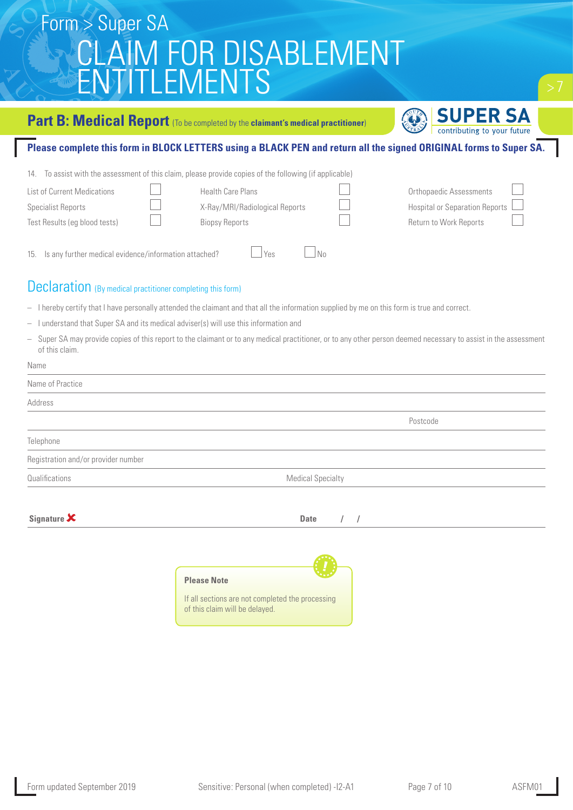#### **Part B: Medical Report** (To be completed by the **claimant's medical practitioner**)

**SUPER SA** 

#### **Please complete this form in BLOCK LETTERS using a BLACK PEN and return all the signed ORIGINAL forms to Super SA.**

14. To assist with the assessment of this claim, please provide copies of the following (if applicable)

| List of Current Medications<br>Specialist Reports<br>Test Results (eg blood tests) | Health Care Plans<br>X-Ray/MRI/Radiological Reports<br><b>Biopsy Reports</b> | <b>Orthopaedic Assessments</b><br>Hospital or Separation Reports<br>Return to Work Reports |  |
|------------------------------------------------------------------------------------|------------------------------------------------------------------------------|--------------------------------------------------------------------------------------------|--|
| 15. Is any further medical evidence/information attached?                          | $Y_{\text{P}}S$<br>N <sub>0</sub>                                            |                                                                                            |  |

#### Declaration (By medical practitioner completing this form)

- I hereby certify that I have personally attended the claimant and that all the information supplied by me on this form is true and correct.
- I understand that Super SA and its medical adviser(s) will use this information and

**Signature X** Date

– Super SA may provide copies of this report to the claimant or to any medical practitioner, or to any other person deemed necessary to assist in the assessment of this claim.

| Name                                |                          |
|-------------------------------------|--------------------------|
| Name of Practice                    |                          |
| Address                             |                          |
|                                     | Postcode                 |
| Telephone                           |                          |
| Registration and/or provider number |                          |
| Qualifications                      | <b>Medical Specialty</b> |
|                                     |                          |
|                                     |                          |

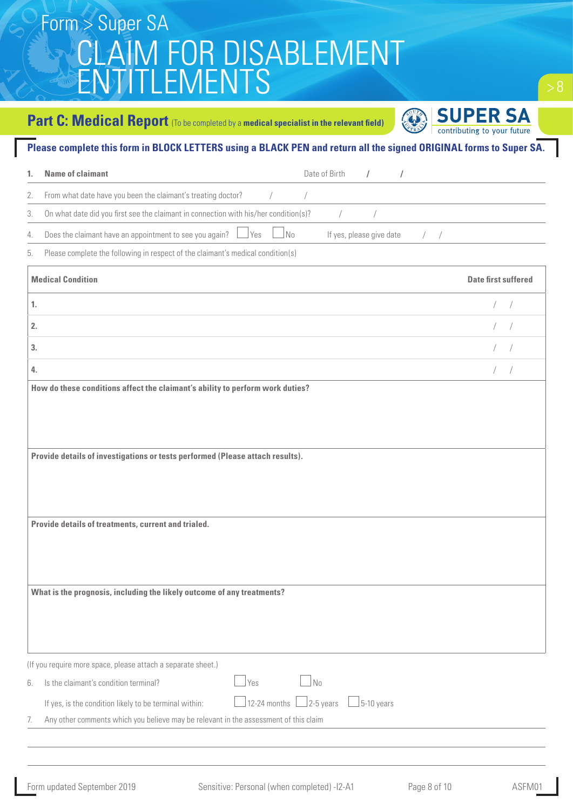#### **Part C: Medical Report** (To be completed by a **medical specialist in the relevant field**)



#### **Please complete this form in BLOCK LETTERS using a BLACK PEN and return all the signed ORIGINAL forms to Super SA.**

| 1. | <b>Name of claimant</b><br>Date of Birth<br>T<br>$\prime$                                                                              |                            |
|----|----------------------------------------------------------------------------------------------------------------------------------------|----------------------------|
| 2. | From what date have you been the claimant's treating doctor?<br>$\bigg)$<br>$\bigg)$                                                   |                            |
| 3. | On what date did you first see the claimant in connection with his/her condition(s)?                                                   |                            |
| 4. | Does the claimant have an appointment to see you again?<br><b>Yes</b><br>No.<br>If yes, please give date<br>$\sqrt{2}$<br>$\sqrt{2}$   |                            |
| 5. | Please complete the following in respect of the claimant's medical condition(s)                                                        |                            |
|    | <b>Medical Condition</b>                                                                                                               | <b>Date first suffered</b> |
| 1. |                                                                                                                                        | $\sqrt{2}$<br>$\sqrt{2}$   |
| 2. |                                                                                                                                        | $\sqrt{2}$                 |
| 3. |                                                                                                                                        |                            |
| 4. |                                                                                                                                        | $\sqrt{2}$<br>$\sqrt{2}$   |
|    | Provide details of investigations or tests performed (Please attach results).                                                          |                            |
|    | Provide details of treatments, current and trialed.                                                                                    |                            |
|    | What is the prognosis, including the likely outcome of any treatments?<br>(If you require more space, please attach a separate sheet.) |                            |

|                | 6. Is the claimant's condition terminal?                                                                      | $V_{\text{AC}}$ | $N_0$ |  |
|----------------|---------------------------------------------------------------------------------------------------------------|-----------------|-------|--|
|                | If yes, is the condition likely to be terminal within: $\Box$ 12-24 months $\Box$ 2-5 years $\Box$ 5-10 years |                 |       |  |
| $\overline{1}$ | Any other comments which you believe may be relevant in the assessment of this claim                          |                 |       |  |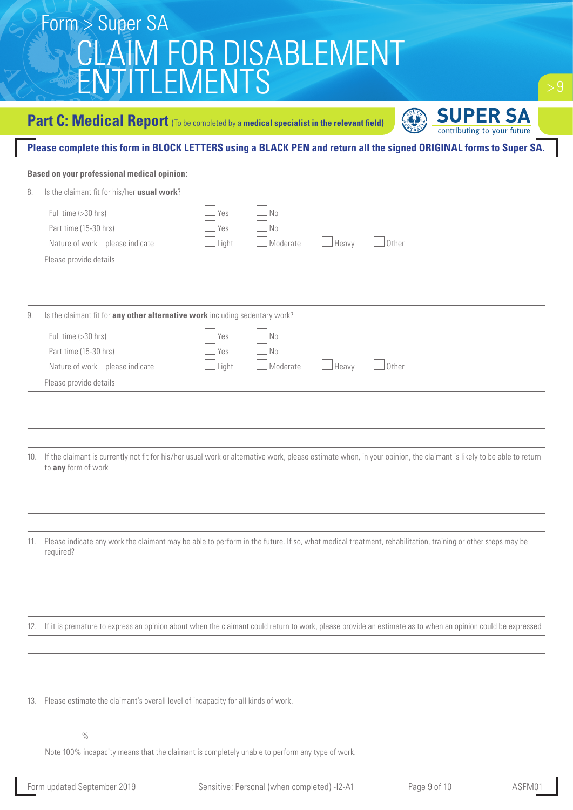#### **Part C: Medical Report** (To be completed by a **medical specialist in the relevant field)**

**JPER SA** contributing to your future

#### **Please complete this form in BLOCK LETTERS using a BLACK PEN and return all the signed ORIGINAL forms to Super SA.**

#### **Based on your professional medical opinion:**

| 8.  | Is the claimant fit for his/her usual work?                                                                                                                                                |
|-----|--------------------------------------------------------------------------------------------------------------------------------------------------------------------------------------------|
|     | Full time (>30 hrs)<br>Yes<br>No                                                                                                                                                           |
|     | Part time (15-30 hrs)<br>No<br>Yes                                                                                                                                                         |
|     | Heavy<br>Moderate<br>Other<br>Nature of work - please indicate<br>Light                                                                                                                    |
|     | Please provide details                                                                                                                                                                     |
|     |                                                                                                                                                                                            |
| 9.  | Is the claimant fit for any other alternative work including sedentary work?                                                                                                               |
|     | Yes<br>No<br>Full time (>30 hrs)                                                                                                                                                           |
|     | Part time (15-30 hrs)<br>Yes<br>No                                                                                                                                                         |
|     | Moderate<br>Heavy<br>Nature of work - please indicate<br>Other<br>Light                                                                                                                    |
|     | Please provide details                                                                                                                                                                     |
|     |                                                                                                                                                                                            |
|     |                                                                                                                                                                                            |
|     |                                                                                                                                                                                            |
| 10. | If the claimant is currently not fit for his/her usual work or alternative work, please estimate when, in your opinion, the claimant is likely to be able to return<br>to any form of work |
|     |                                                                                                                                                                                            |
|     |                                                                                                                                                                                            |
|     |                                                                                                                                                                                            |
| 11. | Please indicate any work the claimant may be able to perform in the future. If so, what medical treatment, rehabilitation, training or other steps may be<br>required?                     |
|     |                                                                                                                                                                                            |
|     |                                                                                                                                                                                            |
|     |                                                                                                                                                                                            |
|     | 12. If it is premature to express an opinion about when the claimant could return to work, please provide an estimate as to when an opinion could be expressed                             |
|     |                                                                                                                                                                                            |
|     |                                                                                                                                                                                            |
|     |                                                                                                                                                                                            |
|     | 13. Please estimate the claimant's overall level of incapacity for all kinds of work.                                                                                                      |
|     | $\frac{0}{0}$                                                                                                                                                                              |

Note 100% incapacity means that the claimant is completely unable to perform any type of work.